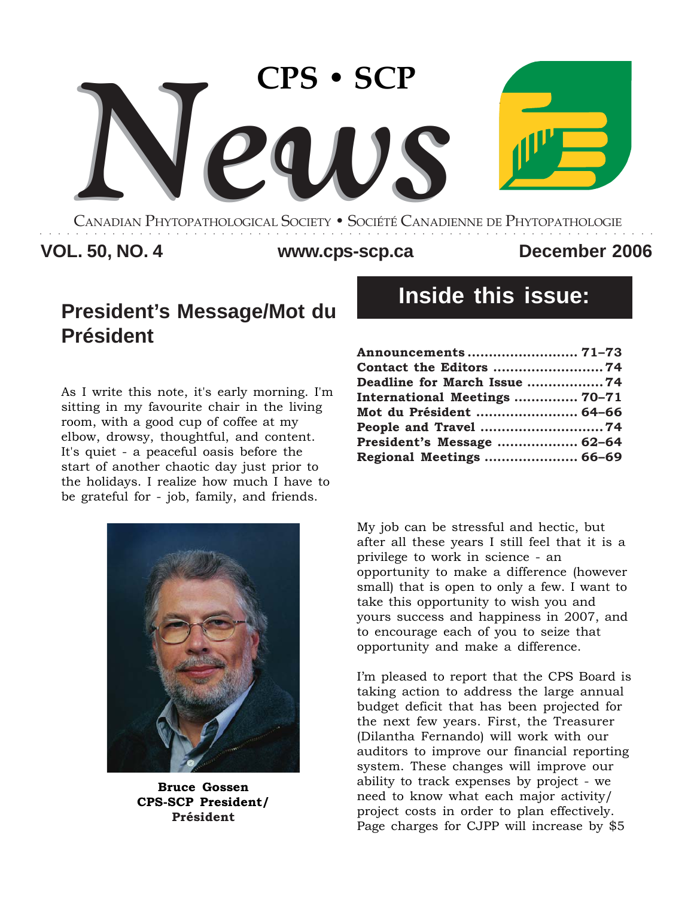

CANADIAN PHYTOPATHOLOGICAL SOCIETY **•** SOCIÉTÉ CANADIENNE DE PHYTOPATHOLOGIE ○○○○○○○○○○○○○○○○○○○○○○○○○○○○○○○○○○○○○○○○○○○○○○○○○○○○○○○○○○○○○○○○○○○○

### **VOL. 50, NO. 4 December 2006 www.cps-scp.ca**

# **President's Message/Mot du Président**

As I write this note, it's early morning. I'm sitting in my favourite chair in the living room, with a good cup of coffee at my elbow, drowsy, thoughtful, and content. It's quiet - a peaceful oasis before the start of another chaotic day just prior to the holidays. I realize how much I have to be grateful for - job, family, and friends.



**Bruce Gossen CPS-SCP President/ Président**

# **Inside this issue:**

| Deadline for March Issue 74   |  |
|-------------------------------|--|
| International Meetings  70-71 |  |
| Mot du Président  64-66       |  |
|                               |  |
| President's Message  62-64    |  |
| Regional Meetings  66-69      |  |

My job can be stressful and hectic, but after all these years I still feel that it is a privilege to work in science - an opportunity to make a difference (however small) that is open to only a few. I want to take this opportunity to wish you and yours success and happiness in 2007, and to encourage each of you to seize that opportunity and make a difference.

I'm pleased to report that the CPS Board is taking action to address the large annual budget deficit that has been projected for the next few years. First, the Treasurer (Dilantha Fernando) will work with our auditors to improve our financial reporting system. These changes will improve our ability to track expenses by project - we need to know what each major activity/ project costs in order to plan effectively. Page charges for CJPP will increase by \$5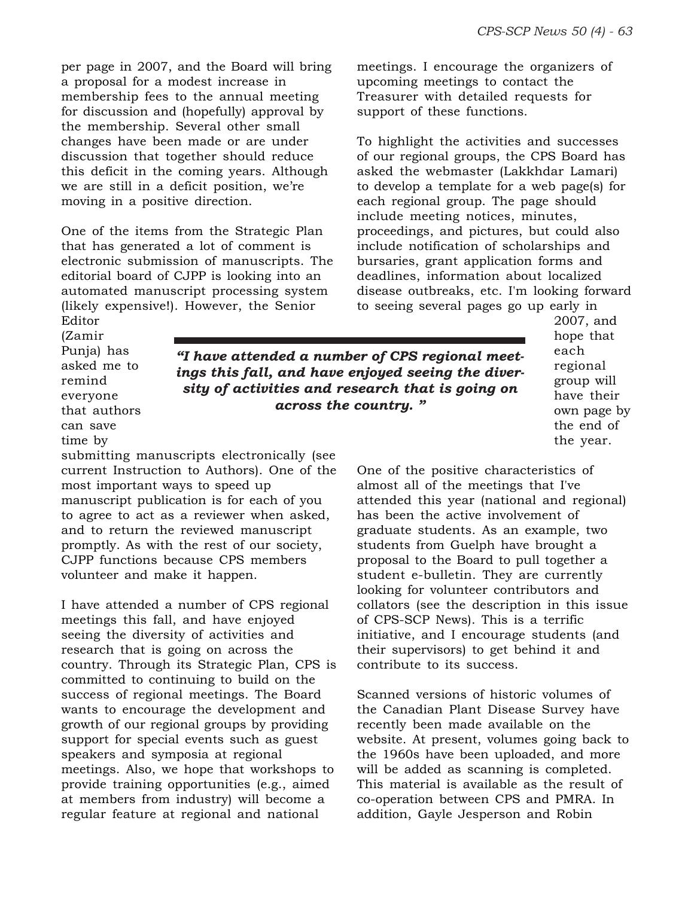per page in 2007, and the Board will bring a proposal for a modest increase in membership fees to the annual meeting for discussion and (hopefully) approval by the membership. Several other small changes have been made or are under discussion that together should reduce this deficit in the coming years. Although we are still in a deficit position, we're moving in a positive direction.

One of the items from the Strategic Plan that has generated a lot of comment is electronic submission of manuscripts. The editorial board of CJPP is looking into an automated manuscript processing system (likely expensive!). However, the Senior Editor

meetings. I encourage the organizers of upcoming meetings to contact the Treasurer with detailed requests for support of these functions.

To highlight the activities and successes of our regional groups, the CPS Board has asked the webmaster (Lakkhdar Lamari) to develop a template for a web page(s) for each regional group. The page should include meeting notices, minutes, proceedings, and pictures, but could also include notification of scholarships and bursaries, grant application forms and deadlines, information about localized disease outbreaks, etc. I'm looking forward to seeing several pages go up early in

(Zamir Punja) has asked me to remind everyone that authors can save

*"I have attended a number of CPS regional meetings this fall, and have enjoyed seeing the diversity of activities and research that is going on across the country. "*

2007, and hope that each regional group will have their own page by the end of the year.

One of the positive characteristics of almost all of the meetings that I've attended this year (national and regional) has been the active involvement of graduate students. As an example, two students from Guelph have brought a proposal to the Board to pull together a student e-bulletin. They are currently looking for volunteer contributors and collators (see the description in this issue of CPS-SCP News). This is a terrific initiative, and I encourage students (and their supervisors) to get behind it and contribute to its success.

> Scanned versions of historic volumes of the Canadian Plant Disease Survey have recently been made available on the website. At present, volumes going back to the 1960s have been uploaded, and more will be added as scanning is completed. This material is available as the result of co-operation between CPS and PMRA. In addition, Gayle Jesperson and Robin

time by submitting manuscripts electronically (see current Instruction to Authors). One of the most important ways to speed up manuscript publication is for each of you to agree to act as a reviewer when asked, and to return the reviewed manuscript promptly. As with the rest of our society, CJPP functions because CPS members volunteer and make it happen.

I have attended a number of CPS regional meetings this fall, and have enjoyed seeing the diversity of activities and research that is going on across the country. Through its Strategic Plan, CPS is committed to continuing to build on the success of regional meetings. The Board wants to encourage the development and growth of our regional groups by providing support for special events such as guest speakers and symposia at regional meetings. Also, we hope that workshops to provide training opportunities (e.g., aimed at members from industry) will become a regular feature at regional and national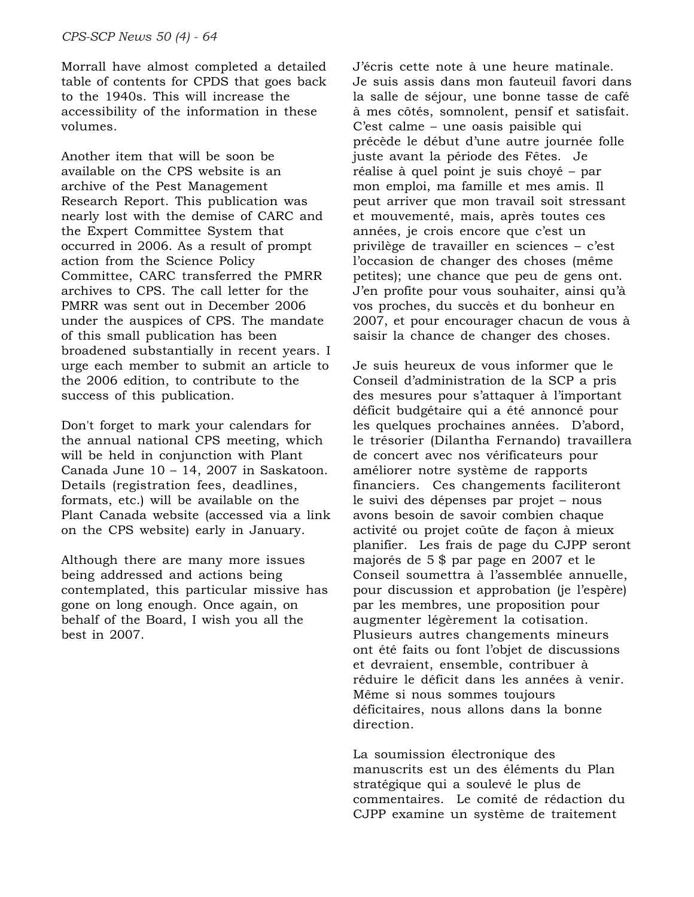Morrall have almost completed a detailed table of contents for CPDS that goes back to the 1940s. This will increase the accessibility of the information in these volumes.

Another item that will be soon be available on the CPS website is an archive of the Pest Management Research Report. This publication was nearly lost with the demise of CARC and the Expert Committee System that occurred in 2006. As a result of prompt action from the Science Policy Committee, CARC transferred the PMRR archives to CPS. The call letter for the PMRR was sent out in December 2006 under the auspices of CPS. The mandate of this small publication has been broadened substantially in recent years. I urge each member to submit an article to the 2006 edition, to contribute to the success of this publication.

Don't forget to mark your calendars for the annual national CPS meeting, which will be held in conjunction with Plant Canada June 10 – 14, 2007 in Saskatoon. Details (registration fees, deadlines, formats, etc.) will be available on the Plant Canada website (accessed via a link on the CPS website) early in January.

Although there are many more issues being addressed and actions being contemplated, this particular missive has gone on long enough. Once again, on behalf of the Board, I wish you all the best in 2007.

J'écris cette note à une heure matinale. Je suis assis dans mon fauteuil favori dans la salle de séjour, une bonne tasse de café à mes côtés, somnolent, pensif et satisfait. C'est calme – une oasis paisible qui précède le début d'une autre journée folle juste avant la période des Fêtes. Je réalise à quel point je suis choyé – par mon emploi, ma famille et mes amis. Il peut arriver que mon travail soit stressant et mouvementé, mais, après toutes ces années, je crois encore que c'est un privilège de travailler en sciences – c'est l'occasion de changer des choses (même petites); une chance que peu de gens ont. J'en profite pour vous souhaiter, ainsi qu'à vos proches, du succès et du bonheur en 2007, et pour encourager chacun de vous à saisir la chance de changer des choses.

Je suis heureux de vous informer que le Conseil d'administration de la SCP a pris des mesures pour s'attaquer à l'important déficit budgétaire qui a été annoncé pour les quelques prochaines années. D'abord, le trésorier (Dilantha Fernando) travaillera de concert avec nos vérificateurs pour améliorer notre système de rapports financiers. Ces changements faciliteront le suivi des dépenses par projet – nous avons besoin de savoir combien chaque activité ou projet coûte de façon à mieux planifier. Les frais de page du CJPP seront majorés de 5 \$ par page en 2007 et le Conseil soumettra à l'assemblée annuelle, pour discussion et approbation (je l'espère) par les membres, une proposition pour augmenter légèrement la cotisation. Plusieurs autres changements mineurs ont été faits ou font l'objet de discussions et devraient, ensemble, contribuer à réduire le déficit dans les années à venir. Même si nous sommes toujours déficitaires, nous allons dans la bonne direction.

La soumission électronique des manuscrits est un des éléments du Plan stratégique qui a soulevé le plus de commentaires. Le comité de rédaction du CJPP examine un système de traitement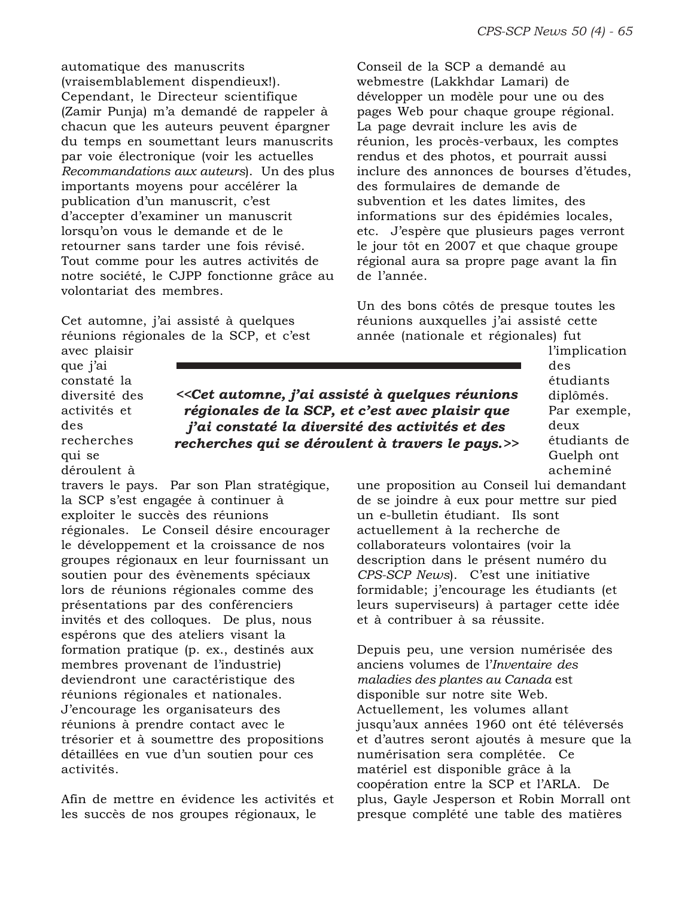automatique des manuscrits (vraisemblablement dispendieux!). Cependant, le Directeur scientifique (Zamir Punja) m'a demandé de rappeler à chacun que les auteurs peuvent épargner du temps en soumettant leurs manuscrits par voie électronique (voir les actuelles *Recommandations aux auteurs*). Un des plus importants moyens pour accélérer la publication d'un manuscrit, c'est d'accepter d'examiner un manuscrit lorsqu'on vous le demande et de le retourner sans tarder une fois révisé. Tout comme pour les autres activités de notre société, le CJPP fonctionne grâce au volontariat des membres.

Cet automne, j'ai assisté à quelques réunions régionales de la SCP, et c'est Conseil de la SCP a demandé au webmestre (Lakkhdar Lamari) de développer un modèle pour une ou des pages Web pour chaque groupe régional. La page devrait inclure les avis de réunion, les procès-verbaux, les comptes rendus et des photos, et pourrait aussi inclure des annonces de bourses d'études, des formulaires de demande de subvention et les dates limites, des informations sur des épidémies locales, etc. J'espère que plusieurs pages verront le jour tôt en 2007 et que chaque groupe régional aura sa propre page avant la fin de l'année.

Un des bons côtés de presque toutes les réunions auxquelles j'ai assisté cette année (nationale et régionales) fut

avec plaisir que j'ai constaté la diversité des activités et des recherches qui se déroulent à

*<<Cet automne, j'ai assisté à quelques réunions régionales de la SCP, et c'est avec plaisir que j'ai constaté la diversité des activités et des recherches qui se déroulent à travers le pays.>>*

l'implication des étudiants diplômés. Par exemple, deux étudiants de Guelph ont acheminé

une proposition au Conseil lui demandant de se joindre à eux pour mettre sur pied un e-bulletin étudiant. Ils sont actuellement à la recherche de collaborateurs volontaires (voir la description dans le présent numéro du *CPS-SCP News*). C'est une initiative formidable; j'encourage les étudiants (et leurs superviseurs) à partager cette idée et à contribuer à sa réussite.

Depuis peu, une version numérisée des anciens volumes de l'*Inventaire des maladies des plantes au Canada* est disponible sur notre site Web. Actuellement, les volumes allant jusqu'aux années 1960 ont été téléversés et d'autres seront ajoutés à mesure que la numérisation sera complétée. Ce matériel est disponible grâce à la coopération entre la SCP et l'ARLA. De plus, Gayle Jesperson et Robin Morrall ont presque complété une table des matières

travers le pays. Par son Plan stratégique, la SCP s'est engagée à continuer à exploiter le succès des réunions régionales. Le Conseil désire encourager le développement et la croissance de nos groupes régionaux en leur fournissant un

soutien pour des évènements spéciaux lors de réunions régionales comme des présentations par des conférenciers invités et des colloques. De plus, nous espérons que des ateliers visant la formation pratique (p. ex., destinés aux membres provenant de l'industrie) deviendront une caractéristique des réunions régionales et nationales. J'encourage les organisateurs des réunions à prendre contact avec le trésorier et à soumettre des propositions détaillées en vue d'un soutien pour ces activités.

Afin de mettre en évidence les activités et les succès de nos groupes régionaux, le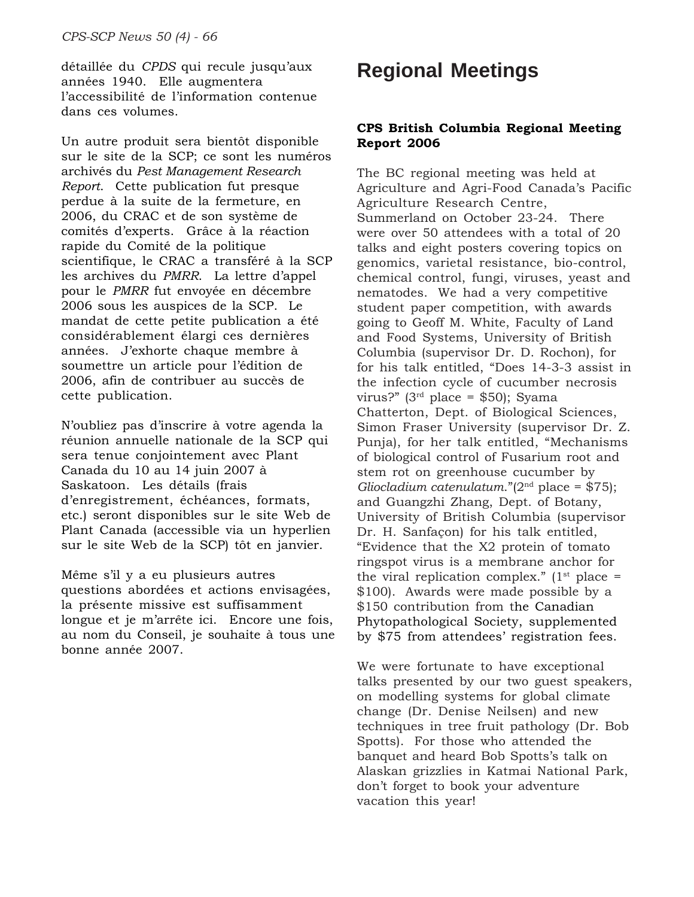détaillée du *CPDS* qui recule jusqu'aux années 1940. Elle augmentera l'accessibilité de l'information contenue dans ces volumes.

Un autre produit sera bientôt disponible sur le site de la SCP; ce sont les numéros archivés du *Pest Management Research Report*. Cette publication fut presque perdue à la suite de la fermeture, en 2006, du CRAC et de son système de comités d'experts. Grâce à la réaction rapide du Comité de la politique scientifique, le CRAC a transféré à la SCP les archives du *PMRR*. La lettre d'appel pour le *PMRR* fut envoyée en décembre 2006 sous les auspices de la SCP. Le mandat de cette petite publication a été considérablement élargi ces dernières années. J'exhorte chaque membre à soumettre un article pour l'édition de 2006, afin de contribuer au succès de cette publication.

N'oubliez pas d'inscrire à votre agenda la réunion annuelle nationale de la SCP qui sera tenue conjointement avec Plant Canada du 10 au 14 juin 2007 à Saskatoon. Les détails (frais d'enregistrement, échéances, formats, etc.) seront disponibles sur le site Web de Plant Canada (accessible via un hyperlien sur le site Web de la SCP) tôt en janvier.

Même s'il y a eu plusieurs autres questions abordées et actions envisagées, la présente missive est suffisamment longue et je m'arrête ici. Encore une fois, au nom du Conseil, je souhaite à tous une bonne année 2007.

# **Regional Meetings**

#### **CPS British Columbia Regional Meeting Report 2006**

The BC regional meeting was held at Agriculture and Agri-Food Canada's Pacific Agriculture Research Centre, Summerland on October 23-24. There were over 50 attendees with a total of 20 talks and eight posters covering topics on genomics, varietal resistance, bio-control, chemical control, fungi, viruses, yeast and nematodes. We had a very competitive student paper competition, with awards going to Geoff M. White, Faculty of Land and Food Systems, University of British Columbia (supervisor Dr. D. Rochon), for for his talk entitled, "Does 14-3-3 assist in the infection cycle of cucumber necrosis virus?" ( $3<sup>rd</sup>$  place = \$50); Syama Chatterton, Dept. of Biological Sciences, Simon Fraser University (supervisor Dr. Z. Punja), for her talk entitled, "Mechanisms of biological control of Fusarium root and stem rot on greenhouse cucumber by *Gliocladium catenulatum*."(2nd place = \$75); and Guangzhi Zhang, Dept. of Botany, University of British Columbia (supervisor Dr. H. Sanfaçon) for his talk entitled, "Evidence that the X2 protein of tomato ringspot virus is a membrane anchor for the viral replication complex."  $(1<sup>st</sup>$  place = \$100). Awards were made possible by a \$150 contribution from the Canadian Phytopathological Society, supplemented by \$75 from attendees' registration fees.

We were fortunate to have exceptional talks presented by our two guest speakers, on modelling systems for global climate change (Dr. Denise Neilsen) and new techniques in tree fruit pathology (Dr. Bob Spotts). For those who attended the banquet and heard Bob Spotts's talk on Alaskan grizzlies in Katmai National Park, don't forget to book your adventure vacation this year!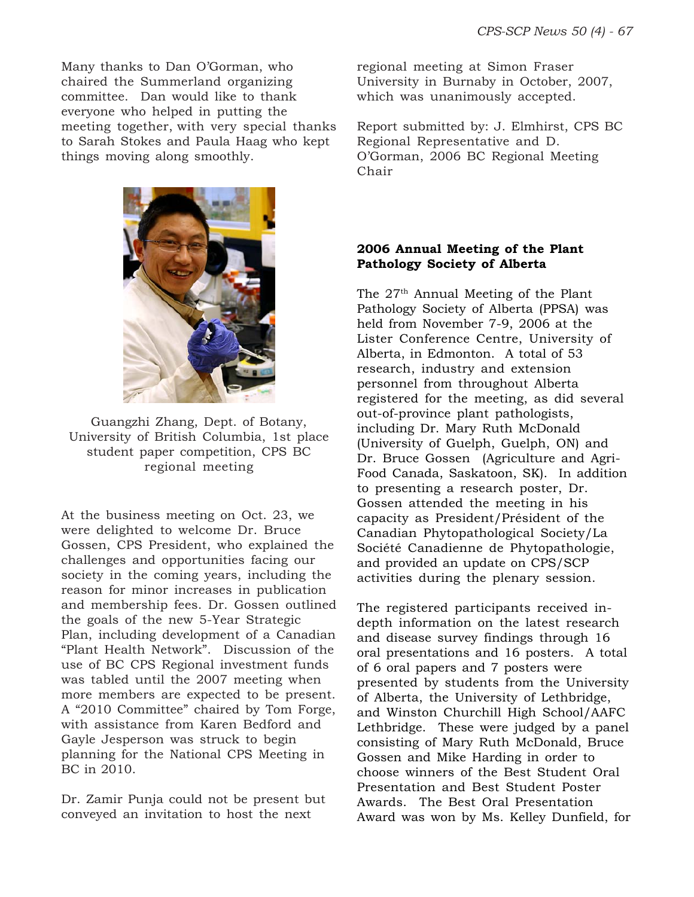Many thanks to Dan O'Gorman, who chaired the Summerland organizing committee. Dan would like to thank everyone who helped in putting the meeting together, with very special thanks to Sarah Stokes and Paula Haag who kept things moving along smoothly.



Guangzhi Zhang, Dept. of Botany, University of British Columbia, 1st place student paper competition, CPS BC regional meeting

At the business meeting on Oct. 23, we were delighted to welcome Dr. Bruce Gossen, CPS President, who explained the challenges and opportunities facing our society in the coming years, including the reason for minor increases in publication and membership fees. Dr. Gossen outlined the goals of the new 5-Year Strategic Plan, including development of a Canadian "Plant Health Network". Discussion of the use of BC CPS Regional investment funds was tabled until the 2007 meeting when more members are expected to be present. A "2010 Committee" chaired by Tom Forge, with assistance from Karen Bedford and Gayle Jesperson was struck to begin planning for the National CPS Meeting in BC in 2010.

Dr. Zamir Punja could not be present but conveyed an invitation to host the next

regional meeting at Simon Fraser University in Burnaby in October, 2007, which was unanimously accepted.

Report submitted by: J. Elmhirst, CPS BC Regional Representative and D. O'Gorman, 2006 BC Regional Meeting Chair

### **2006 Annual Meeting of the Plant Pathology Society of Alberta**

The 27th Annual Meeting of the Plant Pathology Society of Alberta (PPSA) was held from November 7-9, 2006 at the Lister Conference Centre, University of Alberta, in Edmonton. A total of 53 research, industry and extension personnel from throughout Alberta registered for the meeting, as did several out-of-province plant pathologists, including Dr. Mary Ruth McDonald (University of Guelph, Guelph, ON) and Dr. Bruce Gossen (Agriculture and Agri-Food Canada, Saskatoon, SK). In addition to presenting a research poster, Dr. Gossen attended the meeting in his capacity as President/Président of the Canadian Phytopathological Society/La Société Canadienne de Phytopathologie, and provided an update on CPS/SCP activities during the plenary session.

The registered participants received indepth information on the latest research and disease survey findings through 16 oral presentations and 16 posters. A total of 6 oral papers and 7 posters were presented by students from the University of Alberta, the University of Lethbridge, and Winston Churchill High School/AAFC Lethbridge. These were judged by a panel consisting of Mary Ruth McDonald, Bruce Gossen and Mike Harding in order to choose winners of the Best Student Oral Presentation and Best Student Poster Awards. The Best Oral Presentation Award was won by Ms. Kelley Dunfield, for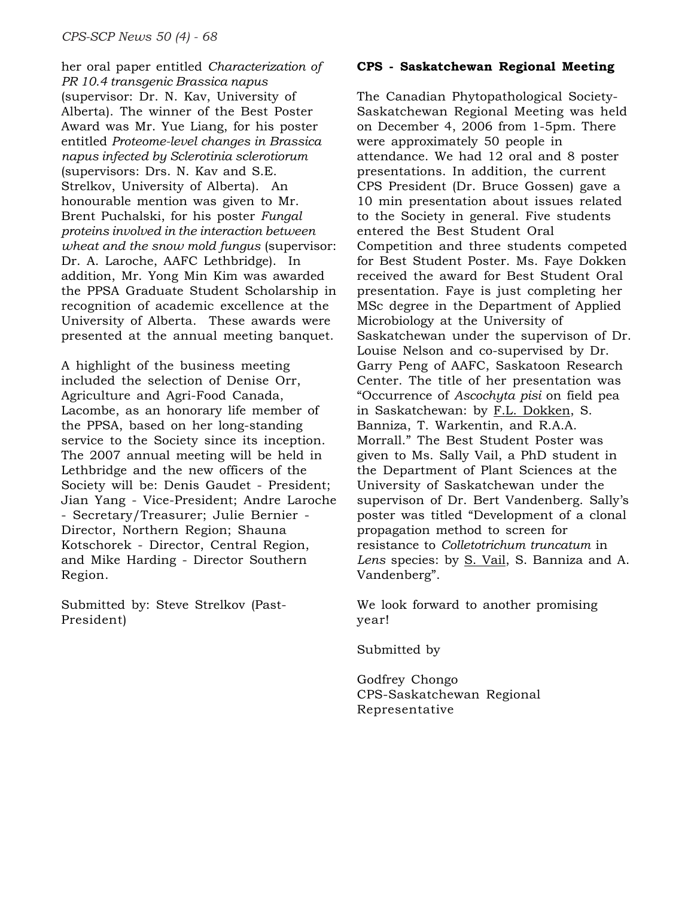her oral paper entitled *Characterization of PR 10.4 transgenic Brassica napus* (supervisor: Dr. N. Kav, University of Alberta). The winner of the Best Poster Award was Mr. Yue Liang, for his poster entitled *Proteome-level changes in Brassica napus infected by Sclerotinia sclerotiorum* (supervisors: Drs. N. Kav and S.E. Strelkov, University of Alberta). An honourable mention was given to Mr. Brent Puchalski, for his poster *Fungal proteins involved in the interaction between wheat and the snow mold fungus* (supervisor: Dr. A. Laroche, AAFC Lethbridge). In addition, Mr. Yong Min Kim was awarded the PPSA Graduate Student Scholarship in recognition of academic excellence at the University of Alberta. These awards were presented at the annual meeting banquet.

A highlight of the business meeting included the selection of Denise Orr, Agriculture and Agri-Food Canada, Lacombe, as an honorary life member of the PPSA, based on her long-standing service to the Society since its inception. The 2007 annual meeting will be held in Lethbridge and the new officers of the Society will be: Denis Gaudet - President; Jian Yang - Vice-President; Andre Laroche - Secretary/Treasurer; Julie Bernier - Director, Northern Region; Shauna Kotschorek - Director, Central Region, and Mike Harding - Director Southern Region.

Submitted by: Steve Strelkov (Past-President)

#### **CPS - Saskatchewan Regional Meeting**

The Canadian Phytopathological Society-Saskatchewan Regional Meeting was held on December 4, 2006 from 1-5pm. There were approximately 50 people in attendance. We had 12 oral and 8 poster presentations. In addition, the current CPS President (Dr. Bruce Gossen) gave a 10 min presentation about issues related to the Society in general. Five students entered the Best Student Oral Competition and three students competed for Best Student Poster. Ms. Faye Dokken received the award for Best Student Oral presentation. Faye is just completing her MSc degree in the Department of Applied Microbiology at the University of Saskatchewan under the supervison of Dr. Louise Nelson and co-supervised by Dr. Garry Peng of AAFC, Saskatoon Research Center. The title of her presentation was "Occurrence of *Ascochyta pisi* on field pea in Saskatchewan: by F.L. Dokken, S. Banniza, T. Warkentin, and R.A.A. Morrall." The Best Student Poster was given to Ms. Sally Vail, a PhD student in the Department of Plant Sciences at the University of Saskatchewan under the supervison of Dr. Bert Vandenberg. Sally's poster was titled "Development of a clonal propagation method to screen for resistance to *Colletotrichum truncatum* in *Lens* species: by S. Vail, S. Banniza and A. Vandenberg".

We look forward to another promising year!

Submitted by

Godfrey Chongo CPS-Saskatchewan Regional Representative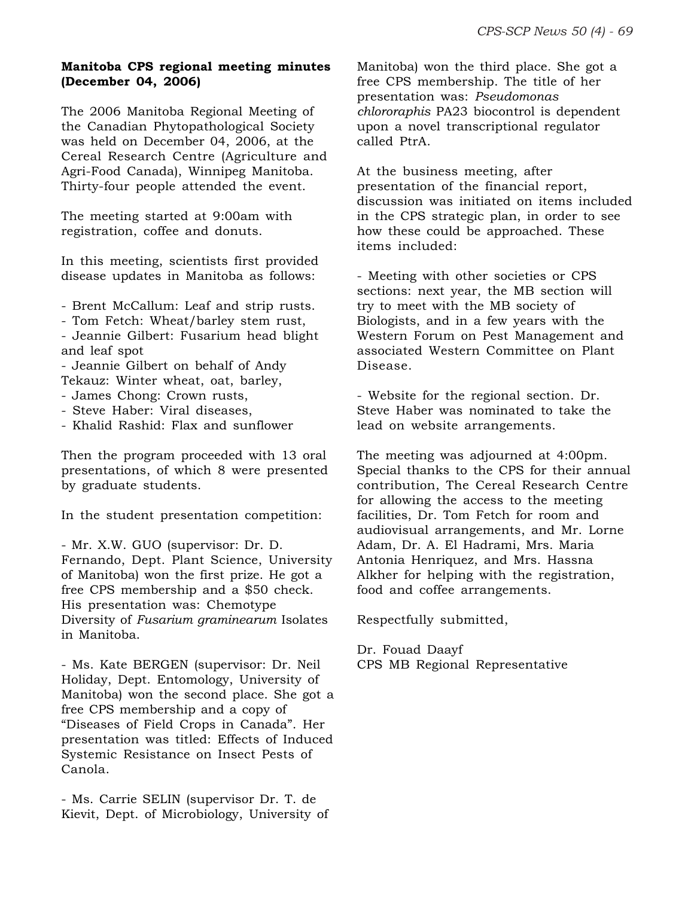#### **Manitoba CPS regional meeting minutes (December 04, 2006)**

The 2006 Manitoba Regional Meeting of the Canadian Phytopathological Society was held on December 04, 2006, at the Cereal Research Centre (Agriculture and Agri-Food Canada), Winnipeg Manitoba. Thirty-four people attended the event.

The meeting started at 9:00am with registration, coffee and donuts.

In this meeting, scientists first provided disease updates in Manitoba as follows:

- Brent McCallum: Leaf and strip rusts.

- Tom Fetch: Wheat/barley stem rust,

- Jeannie Gilbert: Fusarium head blight and leaf spot

- Jeannie Gilbert on behalf of Andy Tekauz: Winter wheat, oat, barley,

- James Chong: Crown rusts,
- Steve Haber: Viral diseases,
- Khalid Rashid: Flax and sunflower

Then the program proceeded with 13 oral presentations, of which 8 were presented by graduate students.

In the student presentation competition:

- Mr. X.W. GUO (supervisor: Dr. D. Fernando, Dept. Plant Science, University of Manitoba) won the first prize. He got a free CPS membership and a \$50 check. His presentation was: Chemotype Diversity of *Fusarium graminearum* Isolates in Manitoba.

- Ms. Kate BERGEN (supervisor: Dr. Neil Holiday, Dept. Entomology, University of Manitoba) won the second place. She got a free CPS membership and a copy of "Diseases of Field Crops in Canada". Her presentation was titled: Effects of Induced Systemic Resistance on Insect Pests of Canola.

- Ms. Carrie SELIN (supervisor Dr. T. de Kievit, Dept. of Microbiology, University of Manitoba) won the third place. She got a free CPS membership. The title of her presentation was: *Pseudomonas chlororaphis* PA23 biocontrol is dependent upon a novel transcriptional regulator called PtrA.

At the business meeting, after presentation of the financial report, discussion was initiated on items included in the CPS strategic plan, in order to see how these could be approached. These items included:

- Meeting with other societies or CPS sections: next year, the MB section will try to meet with the MB society of Biologists, and in a few years with the Western Forum on Pest Management and associated Western Committee on Plant Disease.

- Website for the regional section. Dr. Steve Haber was nominated to take the lead on website arrangements.

The meeting was adjourned at 4:00pm. Special thanks to the CPS for their annual contribution, The Cereal Research Centre for allowing the access to the meeting facilities, Dr. Tom Fetch for room and audiovisual arrangements, and Mr. Lorne Adam, Dr. A. El Hadrami, Mrs. Maria Antonia Henriquez, and Mrs. Hassna Alkher for helping with the registration, food and coffee arrangements.

Respectfully submitted,

Dr. Fouad Daayf CPS MB Regional Representative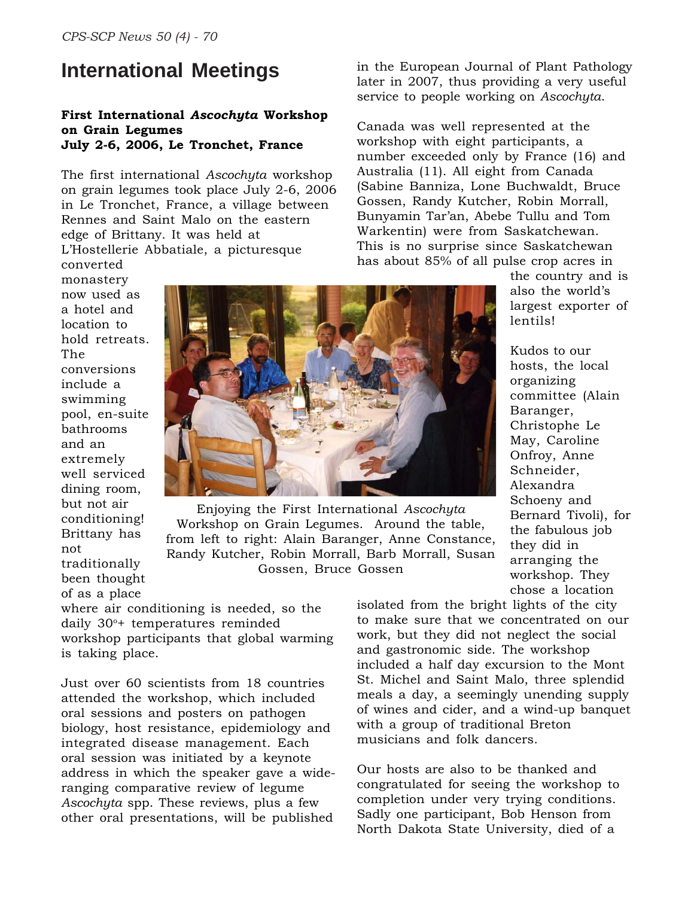# **International Meetings**

#### **First International** *Ascochyta* **Workshop on Grain Legumes July 2-6, 2006, Le Tronchet, France**

The first international *Ascochyta* workshop on grain legumes took place July 2-6, 2006 in Le Tronchet, France, a village between Rennes and Saint Malo on the eastern edge of Brittany. It was held at L'Hostellerie Abbatiale, a picturesque

converted monastery now used as a hotel and location to hold retreats. The conversions include a swimming pool, en-suite bathrooms and an extremely well serviced dining room, but not air conditioning! Brittany has not traditionally been thought of as a place



Enjoying the First International *Ascochyta* Workshop on Grain Legumes. Around the table, from left to right: Alain Baranger, Anne Constance, Randy Kutcher, Robin Morrall, Barb Morrall, Susan Gossen, Bruce Gossen

where air conditioning is needed, so the daily 30<sup>o</sup>+ temperatures reminded workshop participants that global warming is taking place.

Just over 60 scientists from 18 countries attended the workshop, which included oral sessions and posters on pathogen biology, host resistance, epidemiology and integrated disease management. Each oral session was initiated by a keynote address in which the speaker gave a wideranging comparative review of legume *Ascochyta* spp. These reviews, plus a few other oral presentations, will be published

in the European Journal of Plant Pathology later in 2007, thus providing a very useful service to people working on *Ascochyta*.

Canada was well represented at the workshop with eight participants, a number exceeded only by France (16) and Australia (11). All eight from Canada (Sabine Banniza, Lone Buchwaldt, Bruce Gossen, Randy Kutcher, Robin Morrall, Bunyamin Tar'an, Abebe Tullu and Tom Warkentin) were from Saskatchewan. This is no surprise since Saskatchewan has about 85% of all pulse crop acres in

> the country and is also the world's largest exporter of lentils!

Kudos to our hosts, the local organizing committee (Alain Baranger, Christophe Le May, Caroline Onfroy, Anne Schneider, Alexandra Schoeny and Bernard Tivoli), for the fabulous job they did in arranging the workshop. They chose a location

isolated from the bright lights of the city to make sure that we concentrated on our work, but they did not neglect the social and gastronomic side. The workshop included a half day excursion to the Mont St. Michel and Saint Malo, three splendid meals a day, a seemingly unending supply of wines and cider, and a wind-up banquet with a group of traditional Breton musicians and folk dancers.

Our hosts are also to be thanked and congratulated for seeing the workshop to completion under very trying conditions. Sadly one participant, Bob Henson from North Dakota State University, died of a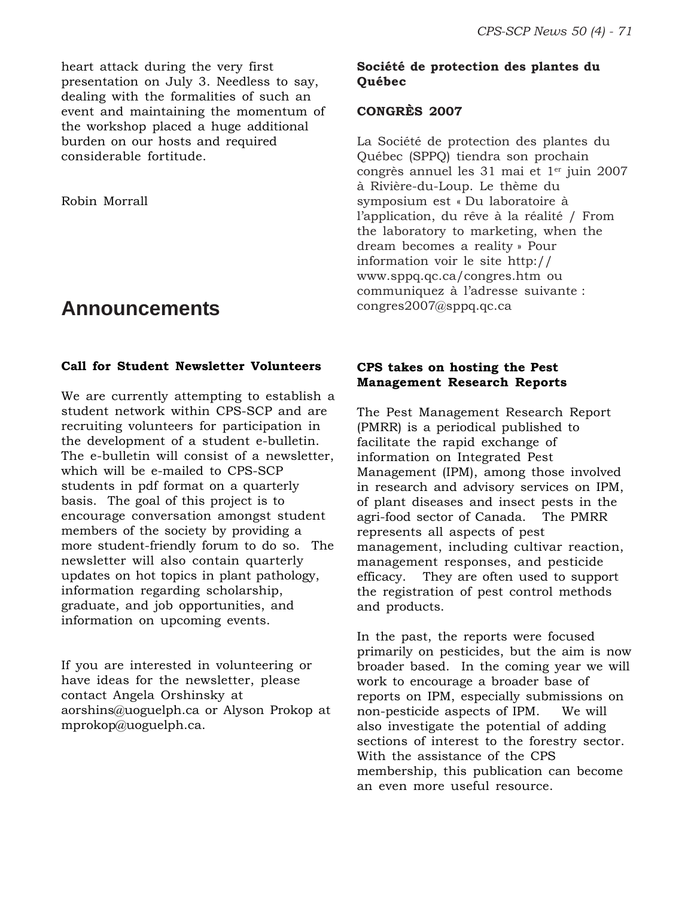heart attack during the very first presentation on July 3. Needless to say, dealing with the formalities of such an event and maintaining the momentum of the workshop placed a huge additional burden on our hosts and required considerable fortitude.

Robin Morrall

# **Announcements**

#### **Call for Student Newsletter Volunteers**

We are currently attempting to establish a student network within CPS-SCP and are recruiting volunteers for participation in the development of a student e-bulletin. The e-bulletin will consist of a newsletter, which will be e-mailed to CPS-SCP students in pdf format on a quarterly basis. The goal of this project is to encourage conversation amongst student members of the society by providing a more student-friendly forum to do so. The newsletter will also contain quarterly updates on hot topics in plant pathology, information regarding scholarship, graduate, and job opportunities, and information on upcoming events.

If you are interested in volunteering or have ideas for the newsletter, please contact Angela Orshinsky at aorshins@uoguelph.ca or Alyson Prokop at mprokop@uoguelph.ca.

#### **Société de protection des plantes du Québec**

#### **CONGRÈS 2007**

La Société de protection des plantes du Québec (SPPQ) tiendra son prochain congrès annuel les 31 mai et 1<sup>er</sup> juin 2007 à Rivière-du-Loup. Le thème du symposium est « Du laboratoire à l'application, du rêve à la réalité / From the laboratory to marketing, when the dream becomes a reality » Pour information voir le site http:// www.sppq.qc.ca/congres.htm ou communiquez à l'adresse suivante : congres2007@sppq.qc.ca

#### **CPS takes on hosting the Pest Management Research Reports**

The Pest Management Research Report (PMRR) is a periodical published to facilitate the rapid exchange of information on Integrated Pest Management (IPM), among those involved in research and advisory services on IPM, of plant diseases and insect pests in the agri-food sector of Canada. The PMRR represents all aspects of pest management, including cultivar reaction, management responses, and pesticide efficacy. They are often used to support the registration of pest control methods and products.

In the past, the reports were focused primarily on pesticides, but the aim is now broader based. In the coming year we will work to encourage a broader base of reports on IPM, especially submissions on non-pesticide aspects of IPM. We will also investigate the potential of adding sections of interest to the forestry sector. With the assistance of the CPS membership, this publication can become an even more useful resource.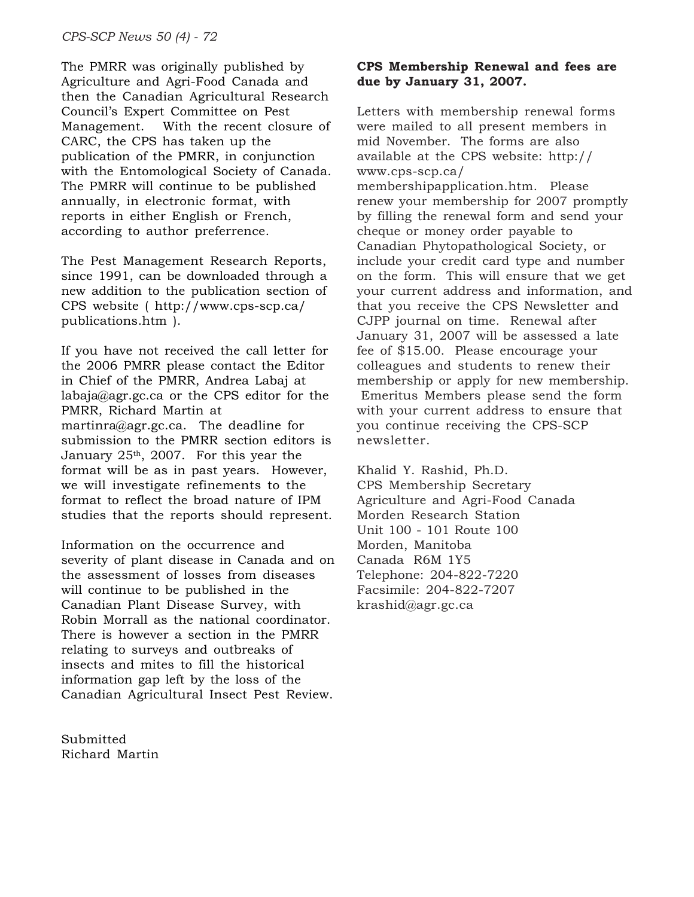The PMRR was originally published by Agriculture and Agri-Food Canada and then the Canadian Agricultural Research Council's Expert Committee on Pest Management. With the recent closure of CARC, the CPS has taken up the publication of the PMRR, in conjunction with the Entomological Society of Canada. The PMRR will continue to be published annually, in electronic format, with reports in either English or French, according to author preferrence.

The Pest Management Research Reports, since 1991, can be downloaded through a new addition to the publication section of CPS website ( http://www.cps-scp.ca/ publications.htm ).

If you have not received the call letter for the 2006 PMRR please contact the Editor in Chief of the PMRR, Andrea Labaj at labaja@agr.gc.ca or the CPS editor for the PMRR, Richard Martin at martinra@agr.gc.ca. The deadline for submission to the PMRR section editors is January  $25<sup>th</sup>$ , 2007. For this year the format will be as in past years. However, we will investigate refinements to the format to reflect the broad nature of IPM studies that the reports should represent.

Information on the occurrence and severity of plant disease in Canada and on the assessment of losses from diseases will continue to be published in the Canadian Plant Disease Survey, with Robin Morrall as the national coordinator. There is however a section in the PMRR relating to surveys and outbreaks of insects and mites to fill the historical information gap left by the loss of the Canadian Agricultural Insect Pest Review.

Submitted Richard Martin

#### **CPS Membership Renewal and fees are due by January 31, 2007.**

Letters with membership renewal forms were mailed to all present members in mid November. The forms are also available at the CPS website: http:// www.cps-scp.ca/ membershipapplication.htm. Please renew your membership for 2007 promptly by filling the renewal form and send your cheque or money order payable to Canadian Phytopathological Society, or include your credit card type and number on the form. This will ensure that we get your current address and information, and that you receive the CPS Newsletter and CJPP journal on time. Renewal after January 31, 2007 will be assessed a late fee of \$15.00. Please encourage your colleagues and students to renew their membership or apply for new membership. Emeritus Members please send the form with your current address to ensure that you continue receiving the CPS-SCP newsletter.

Khalid Y. Rashid, Ph.D. CPS Membership Secretary Agriculture and Agri-Food Canada Morden Research Station Unit 100 - 101 Route 100 Morden, Manitoba Canada R6M 1Y5 Telephone: 204-822-7220 Facsimile: 204-822-7207 krashid@agr.gc.ca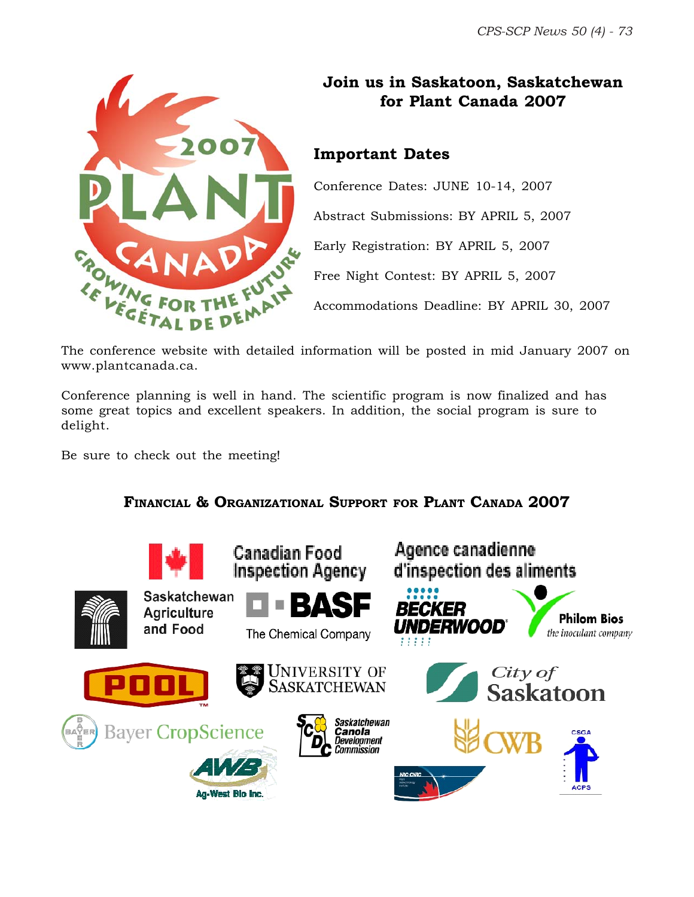

## **Join us in Saskatoon, Saskatchewan for Plant Canada 2007**

### **Important Dates**

Conference Dates: JUNE 10-14, 2007 Abstract Submissions: BY APRIL 5, 2007 Early Registration: BY APRIL 5, 2007 Free Night Contest: BY APRIL 5, 2007

Accommodations Deadline: BY APRIL 30, 2007

The conference website with detailed information will be posted in mid January 2007 on www.plantcanada.ca.

Conference planning is well in hand. The scientific program is now finalized and has some great topics and excellent speakers. In addition, the social program is sure to delight.

Be sure to check out the meeting!

### **FINANCIAL & ORGANIZATIONAL SUPPORT FOR PLANT CANADA 2007**